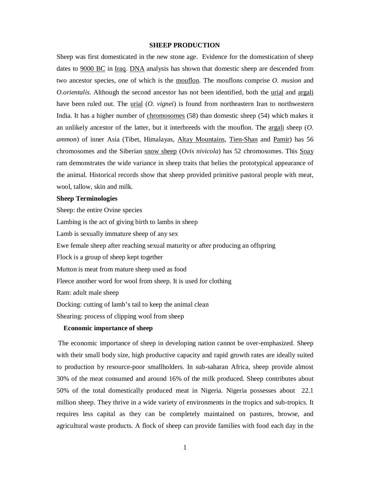## **SHEEP PRODUCTION**

Sheep was first domesticated in the new stone age. Evidence for the domestication of sheep dates to 9000 BC in Iraq. DNA analysis has shown that domestic sheep are descended from two ancestor species, one of which is the mouflon. The mouflons comprise *O. musion* and *O.orientalis*. Although the second ancestor has not been identified, both the <u>urial</u> and <u>argali</u> have been ruled out. The urial (*O. vignei*) is found from northeastern Iran to northwestern India. It has a higher number of chromosomes (58) than domestic sheep (54) which makes it an unlikely ancestor of the latter, but it interbreeds with the mouflon. The argali sheep (*O. ammon*) of inner Asia (Tibet, Himalayas, Altay Mountains, Tien-Shan and Pamir) has 56 chromosomes and the Siberian snow sheep (*Ovis nivicola*) has 52 chromosomes. This Soay ram demonstrates the wide variance in sheep traits that belies the prototypical appearance of the animal. Historical records show that sheep provided primitive pastoral people with meat, wool, tallow, skin and milk.

#### **Sheep Terminologies**

Sheep: the entire Ovine species Lambing is the act of giving birth to lambs in sheep Lamb is sexually immature sheep of any sex Ewe female sheep after reaching sexual maturity or after producing an offspring Flock is a group of sheep kept together Mutton is meat from mature sheep used as food Fleece another word for wool from sheep. It is used for clothing Ram: adult male sheep Docking: cutting of lamb's tail to keep the animal clean Shearing: process of clipping wool from sheep

## **Economic importance of sheep**

The economic importance of sheep in developing nation cannot be over-emphasized. Sheep with their small body size, high productive capacity and rapid growth rates are ideally suited to production by resource-poor smallholders. In sub-saharan Africa, sheep provide almost 30% of the meat consumed and around 16% of the milk produced. Sheep contributes about 50% of the total domestically produced meat in Nigeria. Nigeria possesses about 22.1 million sheep. They thrive in a wide variety of environments in the tropics and sub-tropics. It requires less capital as they can be completely maintained on pastures, browse, and agricultural waste products. A flock of sheep can provide families with food each day in the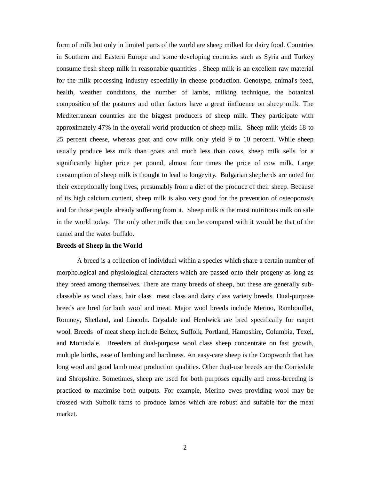form of milk but only in limited parts of the world are sheep milked for dairy food. Countries in Southern and Eastern Europe and some developing countries such as Syria and Turkey consume fresh sheep milk in reasonable quantities . Sheep milk is an excellent raw material for the milk processing industry especially in cheese production. Genotype, animal's feed, health, weather conditions, the number of lambs, milking technique, the botanical composition of the pastures and other factors have a great iinfluence on sheep milk. The Mediterranean countries are the biggest producers of sheep milk. They participate with approximately 47% in the overall world production of sheep milk. Sheep milk yields 18 to 25 percent cheese, whereas goat and cow milk only yield 9 to 10 percent. While sheep usually produce less milk than goats and much less than cows, sheep milk sells for a significantly higher price per pound, almost four times the price of cow milk. Large consumption of sheep milk is thought to lead to longevity. Bulgarian shepherds are noted for their exceptionally long lives, presumably from a diet of the produce of their sheep. Because of its high calcium content, sheep milk is also very good for the prevention of osteoporosis and for those people already suffering from it. Sheep milk is the most nutritious milk on sale in the world today. The only other milk that can be compared with it would be that of the camel and the water buffalo.

#### **Breeds of Sheep in the World**

A breed is a collection of individual within a species which share a certain number of morphological and physiological characters which are passed onto their progeny as long as they breed among themselves. There are many breeds of sheep, but these are generally subclassable as wool class, hair class meat class and dairy class variety breeds. Dual-purpose breeds are bred for both wool and meat. Major wool breeds include Merino, Rambouillet, Romney, Shetland, and Lincoln. Drysdale and Herdwick are bred specifically for carpet wool. Breeds of meat sheep include Beltex, Suffolk, Portland, Hampshire, Columbia, Texel, and Montadale. Breeders of dual-purpose wool class sheep concentrate on fast growth, multiple births, ease of lambing and hardiness. An easy-care sheep is the Coopworth that has long wool and good lamb meat production qualities. Other dual-use breeds are the Corriedale and Shropshire. Sometimes, sheep are used for both purposes equally and cross-breeding is practiced to maximise both outputs. For example, Merino ewes providing wool may be crossed with Suffolk rams to produce lambs which are robust and suitable for the meat market.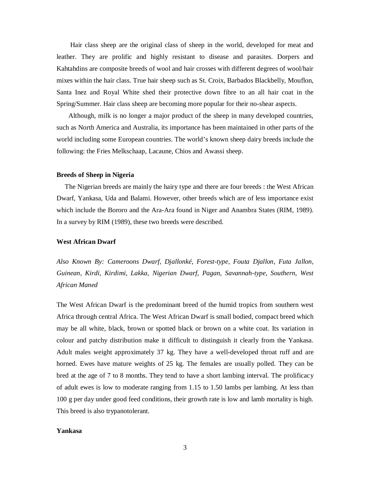Hair class sheep are the original class of sheep in the world, developed for meat and leather. They are prolific and highly resistant to disease and parasites. Dorpers and Kahtahdins are composite breeds of wool and hair crosses with different degrees of wool/hair mixes within the hair class. True hair sheep such as St. Croix, Barbados Blackbelly, Mouflon, Santa Inez and Royal White shed their protective down fibre to an all hair coat in the Spring/Summer. Hair class sheep are becoming more popular for their no-shear aspects.

 Although, milk is no longer a major product of the sheep in many developed countries, such as North America and Australia, its importance has been maintained in other parts of the world including some European countries. The world's known sheep dairy breeds include the following: the Fries Melkschaap, Lacaune, Chios and Awassi sheep.

## **Breeds of Sheep in Nigeria**

 The Nigerian breeds are mainly the hairy type and there are four breeds : the West African Dwarf, Yankasa, Uda and Balami. However, other breeds which are of less importance exist which include the Bororo and the Ara-Ara found in Niger and Anambra States (RIM, 1989). In a survey by RIM (1989), these two breeds were described.

## **West African Dwarf**

*Also Known By: Cameroons Dwarf, Djallonké, Forest-type, Fouta Djallon, Futa Jallon, Guinean, Kirdi, Kirdimi, Lakka, Nigerian Dwarf, Pagan, Savannah-type, Southern, West African Maned*

The West African Dwarf is the predominant breed of the humid tropics from southern west Africa through central Africa. The West African Dwarf is small bodied, compact breed which may be all white, black, brown or spotted black or brown on a white coat. Its variation in colour and patchy distribution make it difficult to distinguish it clearly from the Yankasa. Adult males weight approximately 37 kg. They have a well-developed throat ruff and are horned. Ewes have mature weights of 25 kg. The females are usually polled. They can be bred at the age of 7 to 8 months. They tend to have a short lambing interval. The prolificacy of adult ewes is low to moderate ranging from 1.15 to 1.50 lambs per lambing. At less than 100 g per day under good feed conditions, their growth rate is low and lamb mortality is high. This breed is also trypanotolerant.

#### **Yankasa**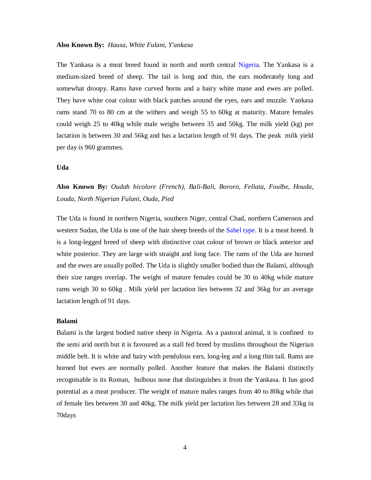# **Also Known By:** *Hausa, White Fulani, Y'ankasa*

The Yankasa is a meat breed found in north and north central Nigeria. The Yankasa is a medium-sized breed of sheep. The tail is long and thin, the ears moderately long and somewhat droopy. Rams have curved horns and a hairy white mane and ewes are polled. They have white coat colour with black patches around the eyes, ears and muzzle. Yankasa rams stand 70 to 80 cm at the withers and weigh 55 to 60kg at maturity. Mature females could weigh 25 to 40kg while male weighs between 35 and 50kg. The milk yield (kg) per lactation is between 30 and 56kg and has a lactation length of 91 days. The peak milk yield per day is 960 grammes.

## **Uda**

# **Also Known By:** *Oudah bicolore (French), Bali-Bali, Bororo, Fellata, Foulbe, Houda, Louda, North Nigerian Fulani, Ouda, Pied*

The Uda is found in northern Nigeria, southern Niger, central Chad, northern Cameroon and western Sudan, the Uda is one of the hair sheep breeds of the Sahel type. It is a meat breed. It is a long-legged breed of sheep with distinctive coat colour of brown or black anterior and white posterior. They are large with straight and long face. The rams of the Uda are horned and the ewes are usually polled. The Uda is slightly smaller bodied than the Balami, although their size ranges overlap. The weight of mature females could be 30 to 40kg while mature rams weigh 30 to 60kg . Milk yield per lactation lies between 32 and 36kg for an average lactation length of 91 days.

#### **Balami**

Balami is the largest bodied native sheep in Nigeria. As a pastoral animal, it is confined to the semi arid north but it is favoured as a stall fed breed by muslims throughout the Nigerian middle belt. It is white and hairy with pendulous ears, long-leg and a long thin tail. Rams are horned but ewes are normally polled. Another feature that makes the Balami distinctly recognisable is its Roman, bulbous nose that distinguishes it from the Yankasa. It has good potential as a meat producer. The weight of mature males ranges from 40 to 80kg while that of female lies between 30 and 40kg. The milk yield per lactation lies between 28 and 33kg in 70days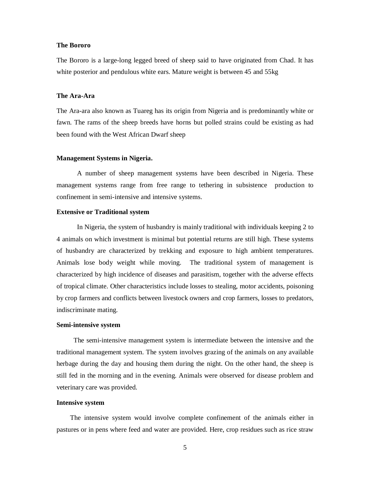## **The Bororo**

The Bororo is a large-long legged breed of sheep said to have originated from Chad. It has white posterior and pendulous white ears. Mature weight is between 45 and 55kg

## **The Ara-Ara**

The Ara-ara also known as Tuareg has its origin from Nigeria and is predominantly white or fawn. The rams of the sheep breeds have horns but polled strains could be existing as had been found with the West African Dwarf sheep

## **Management Systems in Nigeria.**

A number of sheep management systems have been described in Nigeria. These management systems range from free range to tethering in subsistence production to confinement in semi-intensive and intensive systems.

#### **Extensive or Traditional system**

In Nigeria, the system of husbandry is mainly traditional with individuals keeping 2 to 4 animals on which investment is minimal but potential returns are still high. These systems of husbandry are characterized by trekking and exposure to high ambient temperatures. Animals lose body weight while moving. The traditional system of management is characterized by high incidence of diseases and parasitism, together with the adverse effects of tropical climate. Other characteristics include losses to stealing, motor accidents, poisoning by crop farmers and conflicts between livestock owners and crop farmers, losses to predators, indiscriminate mating.

## **Semi-intensive system**

 The semi-intensive management system is intermediate between the intensive and the traditional management system. The system involves grazing of the animals on any available herbage during the day and housing them during the night. On the other hand, the sheep is still fed in the morning and in the evening. Animals were observed for disease problem and veterinary care was provided.

#### **Intensive system**

 The intensive system would involve complete confinement of the animals either in pastures or in pens where feed and water are provided. Here, crop residues such as rice straw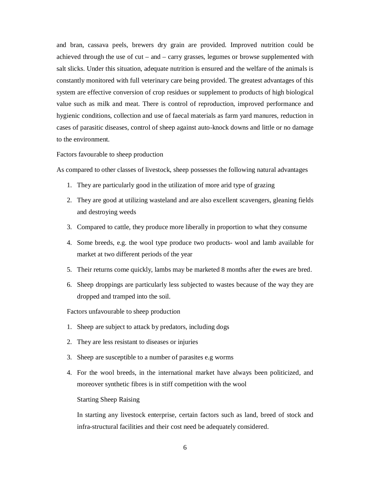and bran, cassava peels, brewers dry grain are provided. Improved nutrition could be achieved through the use of cut – and – carry grasses, legumes or browse supplemented with salt slicks. Under this situation, adequate nutrition is ensured and the welfare of the animals is constantly monitored with full veterinary care being provided. The greatest advantages of this system are effective conversion of crop residues or supplement to products of high biological value such as milk and meat. There is control of reproduction, improved performance and hygienic conditions, collection and use of faecal materials as farm yard manures, reduction in cases of parasitic diseases, control of sheep against auto-knock downs and little or no damage to the environment.

## Factors favourable to sheep production

As compared to other classes of livestock, sheep possesses the following natural advantages

- 1. They are particularly good in the utilization of more arid type of grazing
- 2. They are good at utilizing wasteland and are also excellent scavengers, gleaning fields and destroying weeds
- 3. Compared to cattle, they produce more liberally in proportion to what they consume
- 4. Some breeds, e.g. the wool type produce two products- wool and lamb available for market at two different periods of the year
- 5. Their returns come quickly, lambs may be marketed 8 months after the ewes are bred.
- 6. Sheep droppings are particularly less subjected to wastes because of the way they are dropped and tramped into the soil.

Factors unfavourable to sheep production

- 1. Sheep are subject to attack by predators, including dogs
- 2. They are less resistant to diseases or injuries
- 3. Sheep are susceptible to a number of parasites e.g worms
- 4. For the wool breeds, in the international market have always been politicized, and moreover synthetic fibres is in stiff competition with the wool

Starting Sheep Raising

In starting any livestock enterprise, certain factors such as land, breed of stock and infra-structural facilities and their cost need be adequately considered.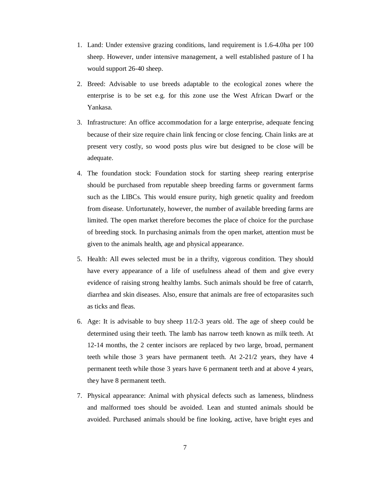- 1. Land: Under extensive grazing conditions, land requirement is 1.6-4.0ha per 100 sheep. However, under intensive management, a well established pasture of I ha would support 26-40 sheep.
- 2. Breed: Advisable to use breeds adaptable to the ecological zones where the enterprise is to be set e.g. for this zone use the West African Dwarf or the Yankasa.
- 3. Infrastructure: An office accommodation for a large enterprise, adequate fencing because of their size require chain link fencing or close fencing. Chain links are at present very costly, so wood posts plus wire but designed to be close will be adequate.
- 4. The foundation stock: Foundation stock for starting sheep rearing enterprise should be purchased from reputable sheep breeding farms or government farms such as the LIBCs. This would ensure purity, high genetic quality and freedom from disease. Unfortunately, however, the number of available breeding farms are limited. The open market therefore becomes the place of choice for the purchase of breeding stock. In purchasing animals from the open market, attention must be given to the animals health, age and physical appearance.
- 5. Health: All ewes selected must be in a thrifty, vigorous condition. They should have every appearance of a life of usefulness ahead of them and give every evidence of raising strong healthy lambs. Such animals should be free of catarrh, diarrhea and skin diseases. Also, ensure that animals are free of ectoparasites such as ticks and fleas.
- 6. Age: It is advisable to buy sheep 11/2-3 years old. The age of sheep could be determined using their teeth. The lamb has narrow teeth known as milk teeth. At 12-14 months, the 2 center incisors are replaced by two large, broad, permanent teeth while those 3 years have permanent teeth. At 2-21/2 years, they have 4 permanent teeth while those 3 years have 6 permanent teeth and at above 4 years, they have 8 permanent teeth.
- 7. Physical appearance: Animal with physical defects such as lameness, blindness and malformed toes should be avoided. Lean and stunted animals should be avoided. Purchased animals should be fine looking, active, have bright eyes and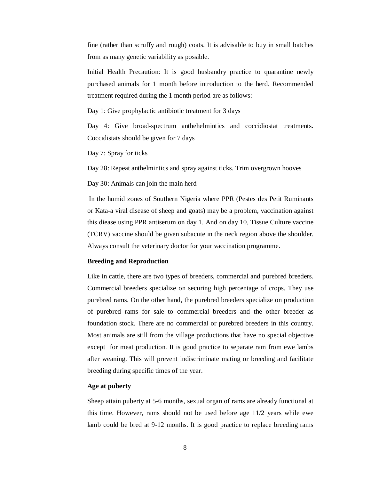fine (rather than scruffy and rough) coats. It is advisable to buy in small batches from as many genetic variability as possible.

Initial Health Precaution: It is good husbandry practice to quarantine newly purchased animals for 1 month before introduction to the herd. Recommended treatment required during the 1 month period are as follows:

Day 1: Give prophylactic antibiotic treatment for 3 days

Day 4: Give broad-spectrum anthehelmintics and coccidiostat treatments. Coccidistats should be given for 7 days

Day 7: Spray for ticks

Day 28: Repeat anthelmintics and spray against ticks. Trim overgrown hooves

Day 30: Animals can join the main herd

In the humid zones of Southern Nigeria where PPR (Pestes des Petit Ruminants or Kata-a viral disease of sheep and goats) may be a problem, vaccination against this diease using PPR antiserum on day 1. And on day 10, Tissue Culture vaccine (TCRV) vaccine should be given subacute in the neck region above the shoulder. Always consult the veterinary doctor for your vaccination programme.

### **Breeding and Reproduction**

Like in cattle, there are two types of breeders, commercial and purebred breeders. Commercial breeders specialize on securing high percentage of crops. They use purebred rams. On the other hand, the purebred breeders specialize on production of purebred rams for sale to commercial breeders and the other breeder as foundation stock. There are no commercial or purebred breeders in this country. Most animals are still from the village productions that have no special objective except for meat production. It is good practice to separate ram from ewe lambs after weaning. This will prevent indiscriminate mating or breeding and facilitate breeding during specific times of the year.

## **Age at puberty**

Sheep attain puberty at 5-6 months, sexual organ of rams are already functional at this time. However, rams should not be used before age 11/2 years while ewe lamb could be bred at 9-12 months. It is good practice to replace breeding rams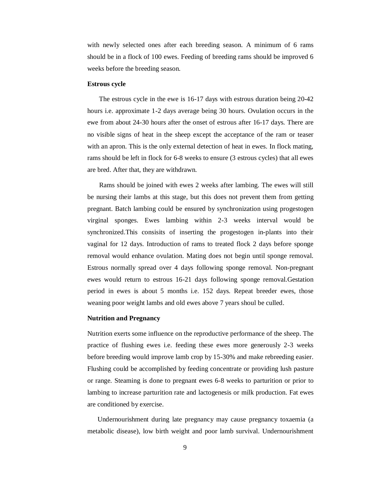with newly selected ones after each breeding season. A minimum of 6 rams should be in a flock of 100 ewes. Feeding of breeding rams should be improved 6 weeks before the breeding season.

#### **Estrous cycle**

 The estrous cycle in the ewe is 16-17 days with estrous duration being 20-42 hours i.e. approximate 1-2 days average being 30 hours. Ovulation occurs in the ewe from about 24-30 hours after the onset of estrous after 16-17 days. There are no visible signs of heat in the sheep except the acceptance of the ram or teaser with an apron. This is the only external detection of heat in ewes. In flock mating, rams should be left in flock for 6-8 weeks to ensure (3 estrous cycles) that all ewes are bred. After that, they are withdrawn.

 Rams should be joined with ewes 2 weeks after lambing. The ewes will still be nursing their lambs at this stage, but this does not prevent them from getting pregnant. Batch lambing could be ensured by synchronization using progestogen virginal sponges. Ewes lambing within 2-3 weeks interval would be synchronized.This consisits of inserting the progestogen in-plants into their vaginal for 12 days. Introduction of rams to treated flock 2 days before sponge removal would enhance ovulation. Mating does not begin until sponge removal. Estrous normally spread over 4 days following sponge removal. Non-pregnant ewes would return to estrous 16-21 days following sponge removal.Gestation period in ewes is about 5 months i.e. 152 days. Repeat breeder ewes, those weaning poor weight lambs and old ewes above 7 years shoul be culled.

#### **Nutrition and Pregnancy**

Nutrition exerts some influence on the reproductive performance of the sheep. The practice of flushing ewes i.e. feeding these ewes more generously 2-3 weeks before breeding would improve lamb crop by 15-30% and make rebreeding easier. Flushing could be accomplished by feeding concentrate or providing lush pasture or range. Steaming is done to pregnant ewes 6-8 weeks to parturition or prior to lambing to increase parturition rate and lactogenesis or milk production. Fat ewes are conditioned by exercise.

 Undernourishment during late pregnancy may cause pregnancy toxaemia (a metabolic disease), low birth weight and poor lamb survival. Undernourishment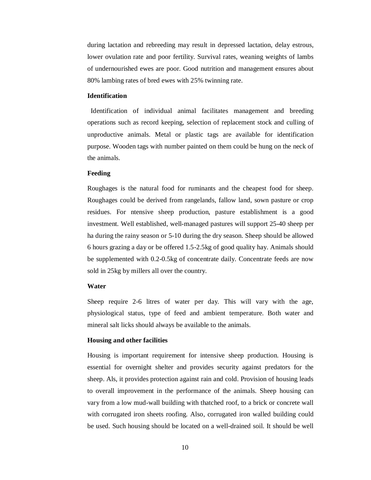during lactation and rebreeding may result in depressed lactation, delay estrous, lower ovulation rate and poor fertility. Survival rates, weaning weights of lambs of undernourished ewes are poor. Good nutrition and management ensures about 80% lambing rates of bred ewes with 25% twinning rate.

## **Identification**

 Identification of individual animal facilitates management and breeding operations such as record keeping, selection of replacement stock and culling of unproductive animals. Metal or plastic tags are available for identification purpose. Wooden tags with number painted on them could be hung on the neck of the animals.

## **Feeding**

Roughages is the natural food for ruminants and the cheapest food for sheep. Roughages could be derived from rangelands, fallow land, sown pasture or crop residues. For ntensive sheep production, pasture establishment is a good investment. Well established, well-managed pastures will support 25-40 sheep per ha during the rainy season or 5-10 during the dry season. Sheep should be allowed 6 hours grazing a day or be offered 1.5-2.5kg of good quality hay. Animals should be supplemented with 0.2-0.5kg of concentrate daily. Concentrate feeds are now sold in 25kg by millers all over the country.

## **Water**

Sheep require 2-6 litres of water per day. This will vary with the age, physiological status, type of feed and ambient temperature. Both water and mineral salt licks should always be available to the animals.

#### **Housing and other facilities**

Housing is important requirement for intensive sheep production. Housing is essential for overnight shelter and provides security against predators for the sheep. Als, it provides protection against rain and cold. Provision of housing leads to overall improvement in the performance of the animals. Sheep housing can vary from a low mud-wall building with thatched roof, to a brick or concrete wall with corrugated iron sheets roofing. Also, corrugated iron walled building could be used. Such housing should be located on a well-drained soil. It should be well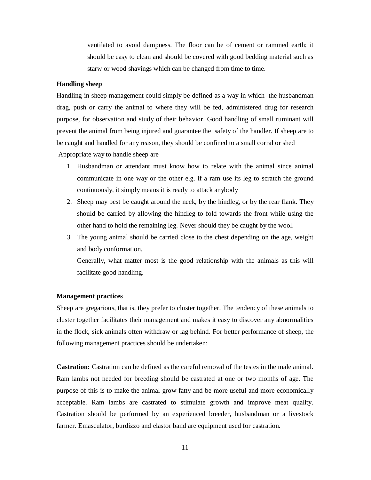ventilated to avoid dampness. The floor can be of cement or rammed earth; it should be easy to clean and should be covered with good bedding material such as starw or wood shavings which can be changed from time to time.

## **Handling sheep**

Handling in sheep management could simply be defined as a way in which the husbandman drag, push or carry the animal to where they will be fed, administered drug for research purpose, for observation and study of their behavior. Good handling of small ruminant will prevent the animal from being injured and guarantee the safety of the handler. If sheep are to be caught and handled for any reason, they should be confined to a small corral or shed Appropriate way to handle sheep are

- 1. Husbandman or attendant must know how to relate with the animal since animal communicate in one way or the other e.g. if a ram use its leg to scratch the ground continuously, it simply means it is ready to attack anybody
- 2. Sheep may best be caught around the neck, by the hindleg, or by the rear flank. They should be carried by allowing the hindleg to fold towards the front while using the other hand to hold the remaining leg. Never should they be caught by the wool.
- 3. The young animal should be carried close to the chest depending on the age, weight and body conformation.

Generally, what matter most is the good relationship with the animals as this will facilitate good handling.

## **Management practices**

Sheep are gregarious, that is, they prefer to cluster together. The tendency of these animals to cluster together facilitates their management and makes it easy to discover any abnormalities in the flock, sick animals often withdraw or lag behind. For better performance of sheep, the following management practices should be undertaken:

**Castration:** Castration can be defined as the careful removal of the testes in the male animal. Ram lambs not needed for breeding should be castrated at one or two months of age. The purpose of this is to make the animal grow fatty and be more useful and more economically acceptable. Ram lambs are castrated to stimulate growth and improve meat quality. Castration should be performed by an experienced breeder, husbandman or a livestock farmer. Emasculator, burdizzo and elastor band are equipment used for castration.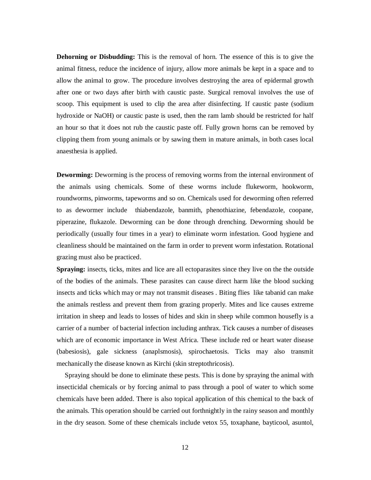**Dehorning or Disbudding:** This is the removal of horn. The essence of this is to give the animal fitness, reduce the incidence of injury, allow more animals be kept in a space and to allow the animal to grow. The procedure involves destroying the area of epidermal growth after one or two days after birth with caustic paste. Surgical removal involves the use of scoop. This equipment is used to clip the area after disinfecting. If caustic paste (sodium hydroxide or NaOH) or caustic paste is used, then the ram lamb should be restricted for half an hour so that it does not rub the caustic paste off. Fully grown horns can be removed by clipping them from young animals or by sawing them in mature animals, in both cases local anaesthesia is applied.

**Deworming:** Deworming is the process of removing worms from the internal environment of the animals using chemicals. Some of these worms include flukeworm, hookworm, roundworms, pinworms, tapeworms and so on. Chemicals used for deworming often referred to as dewormer include thiabendazole, banmith, phenothiazine, febendazole, coopane, piperazine, flukazole. Deworming can be done through drenching. Deworming should be periodically (usually four times in a year) to eliminate worm infestation. Good hygiene and cleanliness should be maintained on the farm in order to prevent worm infestation. Rotational grazing must also be practiced.

**Spraying:** insects, ticks, mites and lice are all ectoparasites since they live on the the outside of the bodies of the animals. These parasites can cause direct harm like the blood sucking insects and ticks which may or may not transmit diseases . Biting flies like tabanid can make the animals restless and prevent them from grazing properly. Mites and lice causes extreme irritation in sheep and leads to losses of hides and skin in sheep while common housefly is a carrier of a number of bacterial infection including anthrax. Tick causes a number of diseases which are of economic importance in West Africa. These include red or heart water disease (babesiosis), gale sickness (anaplsmosis), spirochaetosis. Ticks may also transmit mechanically the disease known as Kirchi (skin streptothricosis).

 Spraying should be done to eliminate these pests. This is done by spraying the animal with insecticidal chemicals or by forcing animal to pass through a pool of water to which some chemicals have been added. There is also topical application of this chemical to the back of the animals. This operation should be carried out forthnightly in the rainy season and monthly in the dry season. Some of these chemicals include vetox 55, toxaphane, bayticool, asuntol,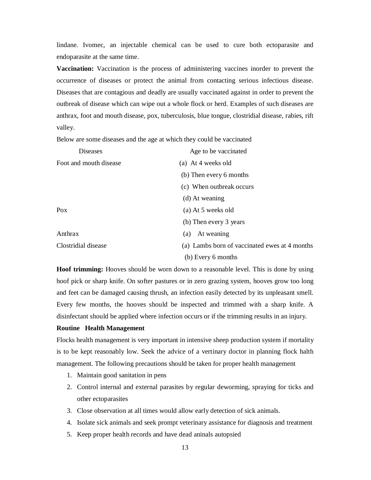lindane. Ivomec, an injectable chemical can be used to cure both ectoparasite and endoparasite at the same time.

**Vaccination:** Vaccination is the process of administering vaccines inorder to prevent the occurrence of diseases or protect the animal from contacting serious infectious disease. Diseases that are contagious and deadly are usually vaccinated against in order to prevent the outbreak of disease which can wipe out a whole flock or herd. Examples of such diseases are anthrax, foot and mouth disease, pox, tuberculosis, blue tongue, clostridial disease, rabies, rift valley.

Below are some diseases and the age at which they could be vaccinated

| Diseases               | Age to be vaccinated                          |
|------------------------|-----------------------------------------------|
| Foot and mouth disease | (a) At 4 weeks old                            |
|                        | (b) Then every 6 months                       |
|                        | (c) When outbreak occurs                      |
|                        | (d) At weaning                                |
| $P_{OX}$               | (a) At 5 weeks old                            |
|                        | (b) Then every 3 years                        |
| Anthrax                | At weaning<br>(a)                             |
| Clostridial disease    | (a) Lambs born of vaccinated ewes at 4 months |
|                        | (b) Every 6 months                            |

**Hoof trimming:** Hooves should be worn down to a reasonable level. This is done by using hoof pick or sharp knife. On softer pastures or in zero grazing system, hooves grow too long and feet can be damaged causing thrush, an infection easily detected by its unpleasant smell. Every few months, the hooves should be inspected and trimmed with a sharp knife. A disinfectant should be applied where infection occurs or if the trimming results in an injury.

## **Routine Health Management**

Flocks health management is very important in intensive sheep production system if mortality is to be kept reasonably low. Seek the advice of a vertinary doctor in planning flock halth management. The following precautions should be taken for proper health management

- 1. Maintain good sanitation in pens
- 2. Control internal and external parasites by regular deworming, spraying for ticks and other ectoparasites
- 3. Close observation at all times would allow early detection of sick animals.
- 4. Isolate sick animals and seek prompt veterinary assistance for diagnosis and treatment
- 5. Keep proper health records and have dead aninals autopsied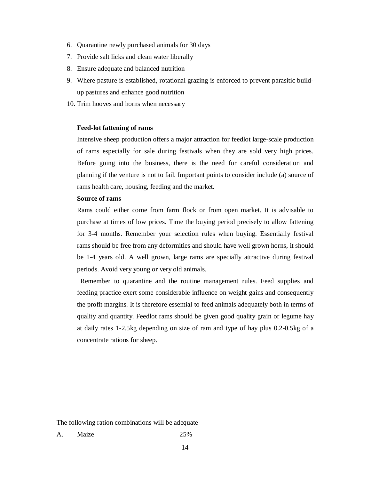- 6. Quarantine newly purchased animals for 30 days
- 7. Provide salt licks and clean water liberally
- 8. Ensure adequate and balanced nutrition
- 9. Where pasture is established, rotational grazing is enforced to prevent parasitic buildup pastures and enhance good nutrition
- 10. Trim hooves and horns when necessary

## **Feed-lot fattening of rams**

Intensive sheep production offers a major attraction for feedlot large-scale production of rams especially for sale during festivals when they are sold very high prices. Before going into the business, there is the need for careful consideration and planning if the venture is not to fail. Important points to consider include (a) source of rams health care, housing, feeding and the market.

# **Source of rams**

Rams could either come from farm flock or from open market. It is advisable to purchase at times of low prices. Time the buying period precisely to allow fattening for 3-4 months. Remember your selection rules when buying. Essentially festival rams should be free from any deformities and should have well grown horns, it should be 1-4 years old. A well grown, large rams are specially attractive during festival periods. Avoid very young or very old animals.

 Remember to quarantine and the routine management rules. Feed supplies and feeding practice exert some considerable influence on weight gains and consequently the profit margins. It is therefore essential to feed animals adequately both in terms of quality and quantity. Feedlot rams should be given good quality grain or legume hay at daily rates 1-2.5kg depending on size of ram and type of hay plus 0.2-0.5kg of a concentrate rations for sheep.

The following ration combinations will be adequate

A. Maize 25%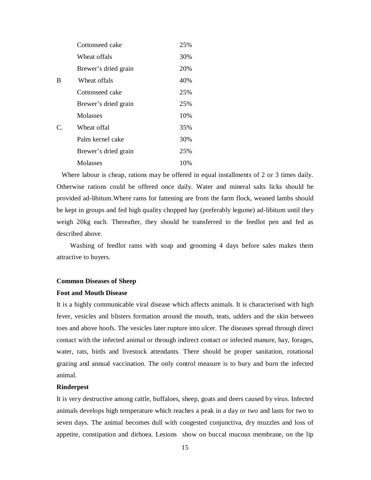|               | Cottonseed cake      | 25% |
|---------------|----------------------|-----|
|               | Wheat offals         | 30% |
|               | Brewer's dried grain | 20% |
| B             | Wheat offals         | 40% |
|               | Cottonseed cake      | 25% |
|               | Brewer's dried grain | 25% |
|               | Molasses             | 10% |
| $\mathcal{C}$ | Wheat offal          | 35% |
|               | Palm kernel cake     | 30% |
|               | Brewer's dried grain | 25% |
|               | Molasses             | 10% |

 Where labour is cheap, rations may be offered in equal installments of 2 or 3 times daily. Otherwise rations could be offered once daily. Water and mineral salts licks should be provided ad-libitum.Where rams for fattening are from the farm flock, weaned lambs should be kept in groups and fed high quality chopped hay (preferably legume) ad-libitum until they weigh 20kg each. Thereafter, they should be transferred to the feedlot pen and fed as described above.

 Washing of feedlot rams with soap and grooming 4 days before sales makes them attractive to buyers.

## **Common Diseases of Sheep**

## **Foot and Mouth Disease**

It is a highly communicable viral disease which affects animals. It is characterised with high fever, vesicles and blisters formation around the mouth, teats, udders and the skin between toes and above hoofs. The vesicles later rupture into ulcer. The diseases spread through direct contact with the infected animal or through indirect contact or infected manure, hay, forages, water, rats, birds and livestock attendants. There should be proper sanitation, rotational grazing and annual vaccination. The only control measure is to bury and burn the infected animal.

## **Rinderpest**

It is very destructive among cattle, buffaloes, sheep, goats and deers caused by virus. Infected animals develops high temperature which reaches a peak in a day or two and lasts for two to seven days. The animal becomes dull with congested conjunctiva, dry muzzles and loss of appetite, constipation and dirhoea. Lesions show on buccal mucous membrane, on the lip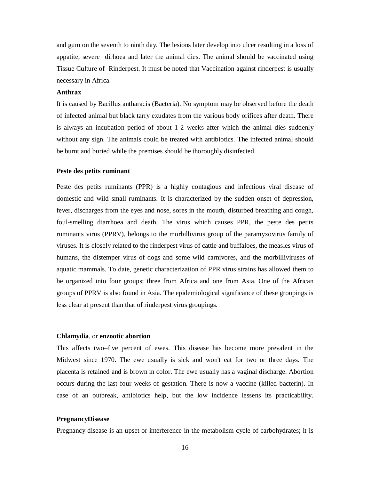and gum on the seventh to ninth day. The lesions later develop into ulcer resulting in a loss of appatite, severe dirhoea and later the animal dies. The animal should be vaccinated using Tissue Culture of Rinderpest. It must be noted that Vaccination against rinderpest is usually necessary in Africa.

#### **Anthrax**

It is caused by Bacillus antharacis (Bacteria). No symptom may be observed before the death of infected animal but black tarry exudates from the various body orifices after death. There is always an incubation period of about 1-2 weeks after which the animal dies suddenly without any sign. The animals could be treated with antibiotics. The infected animal should be burnt and buried while the premises should be thoroughly disinfected.

## **Peste des petits ruminant**

Peste des petits ruminants (PPR) is a highly contagious and infectious viral disease of domestic and wild small ruminants. It is characterized by the sudden onset of depression, fever, discharges from the eyes and nose, sores in the mouth, disturbed breathing and cough, foul-smelling diarrhoea and death. The virus which causes PPR, the peste des petits ruminants virus (PPRV), belongs to the morbillivirus group of the paramyxovirus family of viruses. It is closely related to the rinderpest virus of cattle and buffaloes, the measles virus of humans, the distemper virus of dogs and some wild carnivores, and the morbilliviruses of aquatic mammals. To date, genetic characterization of PPR virus strains has allowed them to be organized into four groups; three from Africa and one from Asia. One of the African groups of PPRV is also found in Asia. The epidemiological significance of these groupings is less clear at present than that of rinderpest virus groupings.

# **Chlamydia**, or **enzootic abortion**

This affects two–five percent of ewes. This disease has become more prevalent in the Midwest since 1970. The ewe usually is sick and won't eat for two or three days. The placenta is retained and is brown in color. The ewe usually has a vaginal discharge. Abortion occurs during the last four weeks of gestation. There is now a vaccine (killed bacterin). In case of an outbreak, antibiotics help, but the low incidence lessens its practicability.

### **PregnancyDisease**

Pregnancy disease is an upset or interference in the metabolism cycle of carbohydrates; it is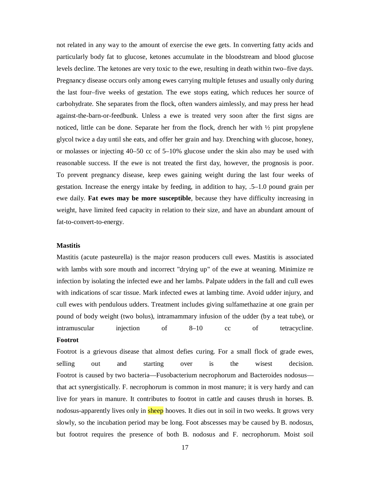not related in any way to the amount of exercise the ewe gets. In converting fatty acids and particularly body fat to glucose, ketones accumulate in the bloodstream and blood glucose levels decline. The ketones are very toxic to the ewe, resulting in death within two–five days. Pregnancy disease occurs only among ewes carrying multiple fetuses and usually only during the last four–five weeks of gestation. The ewe stops eating, which reduces her source of carbohydrate. She separates from the flock, often wanders aimlessly, and may press her head against-the-barn-or-feedbunk. Unless a ewe is treated very soon after the first signs are noticed, little can be done. Separate her from the flock, drench her with  $\frac{1}{2}$  pint propylene glycol twice a day until she eats, and offer her grain and hay. Drenching with glucose, honey, or molasses or injecting 40–50 cc of 5–10% glucose under the skin also may be used with reasonable success. If the ewe is not treated the first day, however, the prognosis is poor. To prevent pregnancy disease, keep ewes gaining weight during the last four weeks of gestation. Increase the energy intake by feeding, in addition to hay, .5–1.0 pound grain per ewe daily. **Fat ewes may be more susceptible**, because they have difficulty increasing in weight, have limited feed capacity in relation to their size, and have an abundant amount of fat-to-convert-to-energy.

#### **Mastitis**

Mastitis (acute pasteurella) is the major reason producers cull ewes. Mastitis is associated with lambs with sore mouth and incorrect "drying up" of the ewe at weaning. Minimize re infection by isolating the infected ewe and her lambs. Palpate udders in the fall and cull ewes with indications of scar tissue. Mark infected ewes at lambing time. Avoid udder injury, and cull ewes with pendulous udders. Treatment includes giving sulfamethazine at one grain per pound of body weight (two bolus), intramammary infusion of the udder (by a teat tube), or intramuscular injection of 8–10 cc of tetracycline. **Footrot**

Footrot is a grievous disease that almost defies curing. For a small flock of grade ewes, selling out and starting over is the wisest decision. Footrot is caused by two bacteria—Fusobacterium necrophorum and Bacteroides nodosus that act synergistically. F. necrophorum is common in most manure; it is very hardy and can live for years in manure. It contributes to footrot in cattle and causes thrush in horses. B. nodosus-apparently lives only in sheep hooves. It dies out in soil in two weeks. It grows very slowly, so the incubation period may be long. Foot abscesses may be caused by B. nodosus, but footrot requires the presence of both B. nodosus and F. necrophorum. Moist soil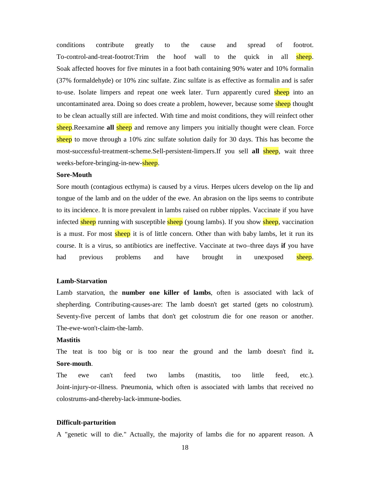conditions contribute greatly to the cause and spread of footrot. To-control-and-treat-footrot:Trim the hoof wall to the quick in all sheep. Soak affected hooves for five minutes in a foot bath containing 90% water and 10% formalin (37% formaldehyde) or 10% zinc sulfate. Zinc sulfate is as effective as formalin and is safer to-use. Isolate limpers and repeat one week later. Turn apparently cured sheep into an uncontaminated area. Doing so does create a problem, however, because some sheep thought to be clean actually still are infected. With time and moist conditions, they will reinfect other sheep.Reexamine **all** sheep and remove any limpers you initially thought were clean. Force sheep to move through a 10% zinc sulfate solution daily for 30 days. This has become the most-successful-treatment-scheme.Sell-persistent-limpers.If you sell **all** sheep, wait three weeks-before-bringing-in-new-sheep.

#### **Sore-Mouth**

Sore mouth (contagious ecthyma) is caused by a virus. Herpes ulcers develop on the lip and tongue of the lamb and on the udder of the ewe. An abrasion on the lips seems to contribute to its incidence. It is more prevalent in lambs raised on rubber nipples. Vaccinate if you have infected sheep running with susceptible sheep (young lambs). If you show sheep, vaccination is a must. For most sheep it is of little concern. Other than with baby lambs, let it run its course. It is a virus, so antibiotics are ineffective. Vaccinate at two–three days **if** you have had previous problems and have brought in unexposed sheep.

#### **Lamb-Starvation**

Lamb starvation, the **number one killer of lambs**, often is associated with lack of shepherding. Contributing-causes-are: The lamb doesn't get started (gets no colostrum). Seventy-five percent of lambs that don't get colostrum die for one reason or another. The-ewe-won't-claim-the-lamb.

# **Mastitis**

The teat is too big or is too near the ground and the lamb doesn't find it**. Sore-mouth**.

The ewe can't feed two lambs (mastitis, too little feed, etc.). Joint-injury-or-illness. Pneumonia, which often is associated with lambs that received no colostrums-and-thereby-lack-immune-bodies.

#### **Difficult-parturition**

A "genetic will to die." Actually, the majority of lambs die for no apparent reason. A